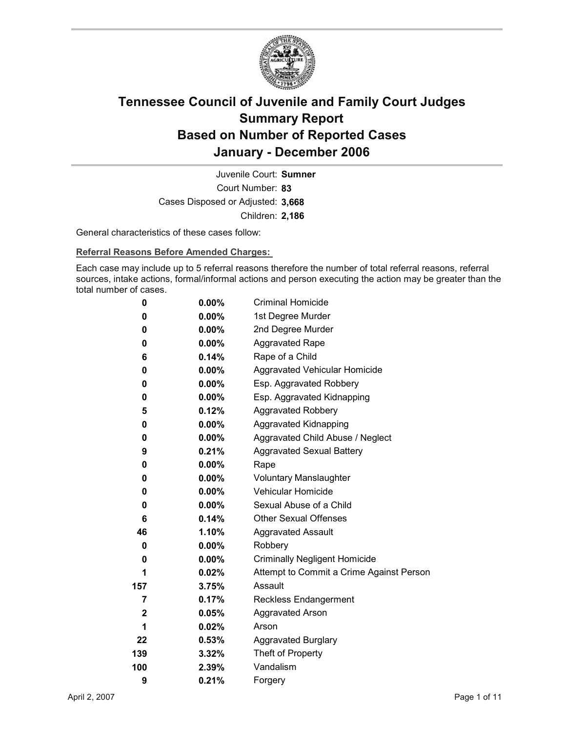

Court Number: **83** Juvenile Court: **Sumner** Cases Disposed or Adjusted: **3,668** Children: **2,186**

General characteristics of these cases follow:

**Referral Reasons Before Amended Charges:** 

Each case may include up to 5 referral reasons therefore the number of total referral reasons, referral sources, intake actions, formal/informal actions and person executing the action may be greater than the total number of cases.

| 0   | 0.00%    | <b>Criminal Homicide</b>                 |
|-----|----------|------------------------------------------|
| 0   | $0.00\%$ | 1st Degree Murder                        |
| 0   | $0.00\%$ | 2nd Degree Murder                        |
| 0   | $0.00\%$ | <b>Aggravated Rape</b>                   |
| 6   | 0.14%    | Rape of a Child                          |
| 0   | $0.00\%$ | Aggravated Vehicular Homicide            |
| 0   | $0.00\%$ | Esp. Aggravated Robbery                  |
| 0   | $0.00\%$ | Esp. Aggravated Kidnapping               |
| 5   | 0.12%    | <b>Aggravated Robbery</b>                |
| 0   | $0.00\%$ | <b>Aggravated Kidnapping</b>             |
| 0   | $0.00\%$ | Aggravated Child Abuse / Neglect         |
| 9   | 0.21%    | <b>Aggravated Sexual Battery</b>         |
| 0   | $0.00\%$ | Rape                                     |
| 0   | $0.00\%$ | <b>Voluntary Manslaughter</b>            |
| 0   | $0.00\%$ | <b>Vehicular Homicide</b>                |
| 0   | $0.00\%$ | Sexual Abuse of a Child                  |
| 6   | 0.14%    | <b>Other Sexual Offenses</b>             |
| 46  | $1.10\%$ | <b>Aggravated Assault</b>                |
| 0   | $0.00\%$ | Robbery                                  |
| 0   | $0.00\%$ | <b>Criminally Negligent Homicide</b>     |
| 1   | $0.02\%$ | Attempt to Commit a Crime Against Person |
| 157 | 3.75%    | Assault                                  |
| 7   | 0.17%    | <b>Reckless Endangerment</b>             |
| 2   | 0.05%    | <b>Aggravated Arson</b>                  |
| 1   | 0.02%    | Arson                                    |
| 22  | 0.53%    | <b>Aggravated Burglary</b>               |
| 139 | 3.32%    | Theft of Property                        |
| 100 | 2.39%    | Vandalism                                |
| 9   | 0.21%    | Forgery                                  |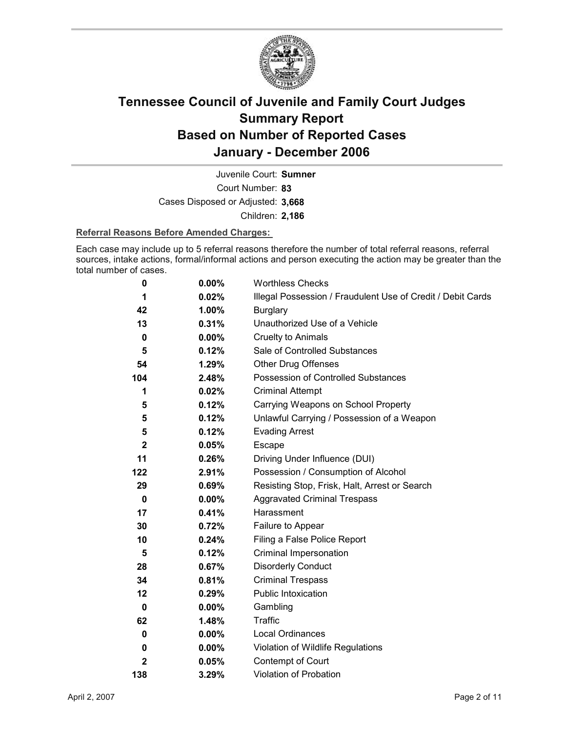

Court Number: **83** Juvenile Court: **Sumner** Cases Disposed or Adjusted: **3,668** Children: **2,186**

### **Referral Reasons Before Amended Charges:**

Each case may include up to 5 referral reasons therefore the number of total referral reasons, referral sources, intake actions, formal/informal actions and person executing the action may be greater than the total number of cases.

| 0            | $0.00\%$ | <b>Worthless Checks</b>                                     |
|--------------|----------|-------------------------------------------------------------|
| 1            | 0.02%    | Illegal Possession / Fraudulent Use of Credit / Debit Cards |
| 42           | $1.00\%$ | <b>Burglary</b>                                             |
| 13           | 0.31%    | Unauthorized Use of a Vehicle                               |
| 0            | $0.00\%$ | <b>Cruelty to Animals</b>                                   |
| 5            | 0.12%    | Sale of Controlled Substances                               |
| 54           | 1.29%    | <b>Other Drug Offenses</b>                                  |
| 104          | 2.48%    | Possession of Controlled Substances                         |
| 1            | 0.02%    | <b>Criminal Attempt</b>                                     |
| 5            | 0.12%    | Carrying Weapons on School Property                         |
| 5            | 0.12%    | Unlawful Carrying / Possession of a Weapon                  |
| 5            | 0.12%    | <b>Evading Arrest</b>                                       |
| $\mathbf{2}$ | 0.05%    | Escape                                                      |
| 11           | 0.26%    | Driving Under Influence (DUI)                               |
| 122          | 2.91%    | Possession / Consumption of Alcohol                         |
| 29           | 0.69%    | Resisting Stop, Frisk, Halt, Arrest or Search               |
| $\pmb{0}$    | $0.00\%$ | <b>Aggravated Criminal Trespass</b>                         |
| 17           | 0.41%    | Harassment                                                  |
| 30           | 0.72%    | Failure to Appear                                           |
| 10           | 0.24%    | Filing a False Police Report                                |
| 5            | 0.12%    | Criminal Impersonation                                      |
| 28           | 0.67%    | <b>Disorderly Conduct</b>                                   |
| 34           | 0.81%    | <b>Criminal Trespass</b>                                    |
| 12           | 0.29%    | <b>Public Intoxication</b>                                  |
| 0            | $0.00\%$ | Gambling                                                    |
| 62           | 1.48%    | <b>Traffic</b>                                              |
| 0            | 0.00%    | <b>Local Ordinances</b>                                     |
| 0            | $0.00\%$ | Violation of Wildlife Regulations                           |
| $\mathbf{2}$ | 0.05%    | Contempt of Court                                           |
| 138          | 3.29%    | <b>Violation of Probation</b>                               |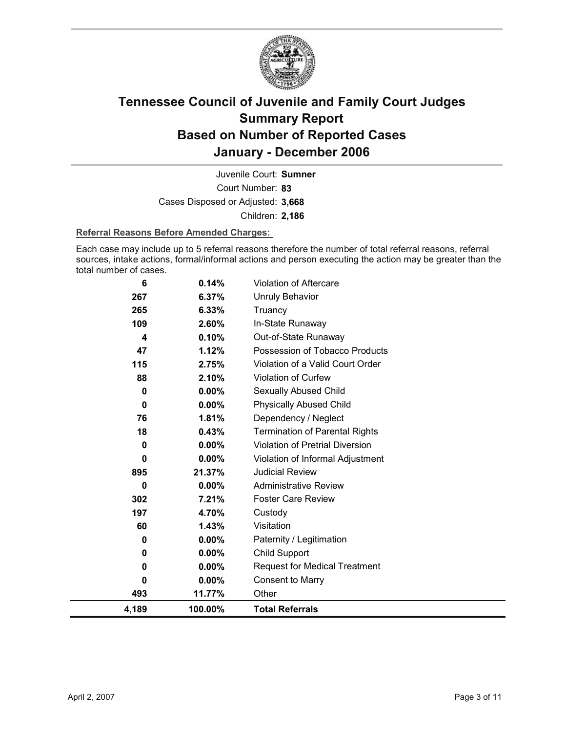

Court Number: **83** Juvenile Court: **Sumner** Cases Disposed or Adjusted: **3,668** Children: **2,186**

#### **Referral Reasons Before Amended Charges:**

Each case may include up to 5 referral reasons therefore the number of total referral reasons, referral sources, intake actions, formal/informal actions and person executing the action may be greater than the total number of cases.

| 4,189 | 100.00%  | <b>Total Referrals</b>                 |
|-------|----------|----------------------------------------|
| 493   | 11.77%   | Other                                  |
| 0     | $0.00\%$ | <b>Consent to Marry</b>                |
| 0     | 0.00%    | <b>Request for Medical Treatment</b>   |
| 0     | $0.00\%$ | <b>Child Support</b>                   |
| 0     | $0.00\%$ | Paternity / Legitimation               |
| 60    | 1.43%    | Visitation                             |
| 197   | 4.70%    | Custody                                |
| 302   | 7.21%    | <b>Foster Care Review</b>              |
| 0     | 0.00%    | <b>Administrative Review</b>           |
| 895   | 21.37%   | <b>Judicial Review</b>                 |
| 0     | 0.00%    | Violation of Informal Adjustment       |
| 0     | 0.00%    | <b>Violation of Pretrial Diversion</b> |
| 18    | 0.43%    | <b>Termination of Parental Rights</b>  |
| 76    | 1.81%    | Dependency / Neglect                   |
| 0     | $0.00\%$ | <b>Physically Abused Child</b>         |
| 0     | $0.00\%$ | Sexually Abused Child                  |
| 88    | 2.10%    | Violation of Curfew                    |
| 115   | 2.75%    | Violation of a Valid Court Order       |
| 47    | 1.12%    | Possession of Tobacco Products         |
| 4     | 0.10%    | Out-of-State Runaway                   |
| 109   | 2.60%    | In-State Runaway                       |
| 265   | 6.33%    | Truancy                                |
| 267   | 6.37%    | <b>Unruly Behavior</b>                 |
| 6     | 0.14%    | <b>Violation of Aftercare</b>          |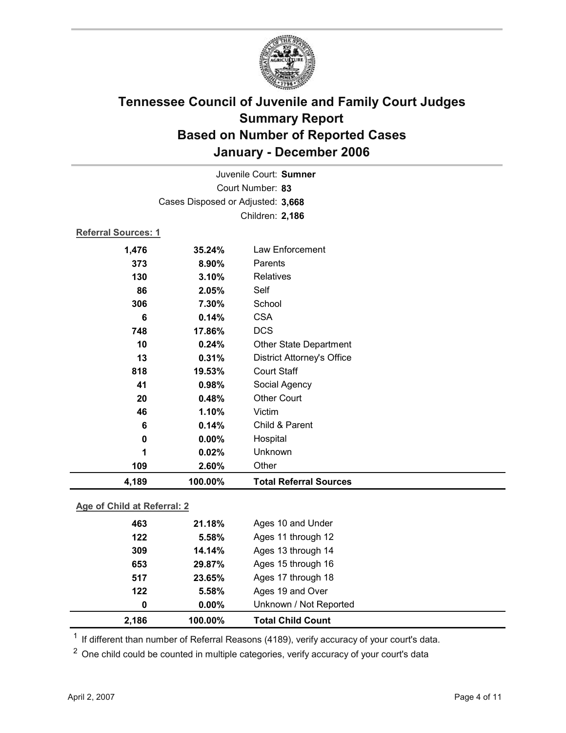

| Juvenile Court: Sumner            |                            |                                   |  |  |  |
|-----------------------------------|----------------------------|-----------------------------------|--|--|--|
| Court Number: 83                  |                            |                                   |  |  |  |
| Cases Disposed or Adjusted: 3,668 |                            |                                   |  |  |  |
|                                   |                            | Children: 2,186                   |  |  |  |
|                                   | <b>Referral Sources: 1</b> |                                   |  |  |  |
| 1,476                             | 35.24%                     | Law Enforcement                   |  |  |  |
| 373                               | 8.90%                      | Parents                           |  |  |  |
| 130                               | 3.10%                      | <b>Relatives</b>                  |  |  |  |
| 86                                | 2.05%                      | Self                              |  |  |  |
| 306                               | 7.30%                      | School                            |  |  |  |
| 6                                 | 0.14%                      | <b>CSA</b>                        |  |  |  |
| 748                               | 17.86%                     | <b>DCS</b>                        |  |  |  |
| 10                                | 0.24%                      | Other State Department            |  |  |  |
| 13                                | 0.31%                      | <b>District Attorney's Office</b> |  |  |  |
| 818                               | 19.53%                     | <b>Court Staff</b>                |  |  |  |
| 41                                | 0.98%                      | Social Agency                     |  |  |  |
| 20                                | 0.48%                      | <b>Other Court</b>                |  |  |  |
| 46                                | 1.10%                      | Victim                            |  |  |  |
| 6                                 | 0.14%                      | Child & Parent                    |  |  |  |
| 0                                 | $0.00\%$                   | Hospital                          |  |  |  |
| 1                                 | 0.02%                      | Unknown                           |  |  |  |
| 109                               | 2.60%                      | Other                             |  |  |  |
| 4,189                             | 100.00%                    | <b>Total Referral Sources</b>     |  |  |  |
| Age of Child at Referral: 2       |                            |                                   |  |  |  |
|                                   |                            |                                   |  |  |  |
| 463                               | 21.18%                     | Ages 10 and Under                 |  |  |  |

| 2,186 | 100.00%  | <b>Total Child Count</b> |  |
|-------|----------|--------------------------|--|
| 0     | $0.00\%$ | Unknown / Not Reported   |  |
| 122   | 5.58%    | Ages 19 and Over         |  |
| 517   | 23.65%   | Ages 17 through 18       |  |
| 653   | 29.87%   | Ages 15 through 16       |  |
| 309   | 14.14%   | Ages 13 through 14       |  |
| 122   | 5.58%    | Ages 11 through 12       |  |
| 463   | 21.18%   | Ages 10 and Under        |  |

 $1$  If different than number of Referral Reasons (4189), verify accuracy of your court's data.

<sup>2</sup> One child could be counted in multiple categories, verify accuracy of your court's data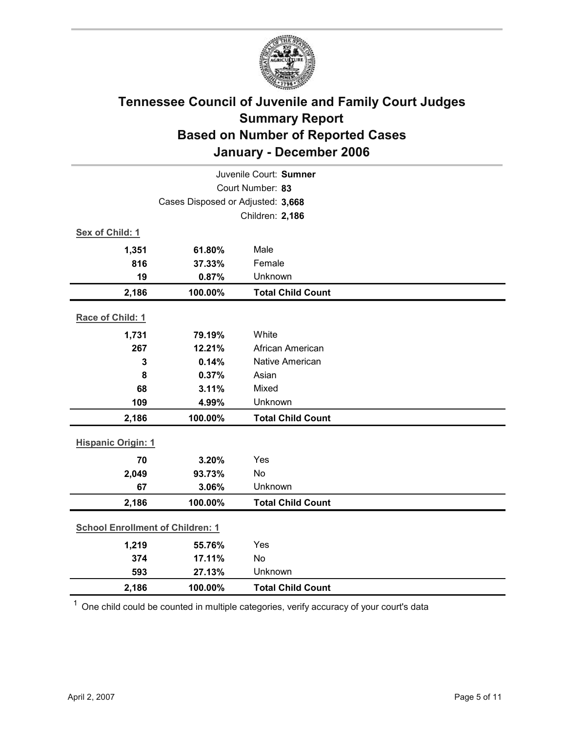

| Juvenile Court: Sumner    |                                         |                          |  |  |
|---------------------------|-----------------------------------------|--------------------------|--|--|
| Court Number: 83          |                                         |                          |  |  |
|                           | Cases Disposed or Adjusted: 3,668       |                          |  |  |
|                           |                                         | Children: 2,186          |  |  |
| Sex of Child: 1           |                                         |                          |  |  |
| 1,351                     | 61.80%                                  | Male                     |  |  |
| 816                       | 37.33%                                  | Female                   |  |  |
| 19                        | 0.87%                                   | Unknown                  |  |  |
| 2,186                     | 100.00%                                 | <b>Total Child Count</b> |  |  |
| Race of Child: 1          |                                         |                          |  |  |
| 1,731                     | 79.19%                                  | White                    |  |  |
| 267                       | 12.21%                                  | African American         |  |  |
| 3                         | 0.14%                                   | <b>Native American</b>   |  |  |
| 8                         | 0.37%                                   | Asian                    |  |  |
| 68                        | 3.11%                                   | Mixed                    |  |  |
| 109                       | 4.99%                                   | Unknown                  |  |  |
| 2,186                     | 100.00%                                 | <b>Total Child Count</b> |  |  |
| <b>Hispanic Origin: 1</b> |                                         |                          |  |  |
| 70                        | 3.20%                                   | Yes                      |  |  |
| 2,049                     | 93.73%                                  | No                       |  |  |
| 67                        | 3.06%                                   | Unknown                  |  |  |
| 2,186                     | 100.00%                                 | <b>Total Child Count</b> |  |  |
|                           | <b>School Enrollment of Children: 1</b> |                          |  |  |
| 1,219                     | 55.76%                                  | Yes                      |  |  |
| 374                       | 17.11%                                  | No                       |  |  |
| 593                       | 27.13%                                  | Unknown                  |  |  |
| 2,186                     | 100.00%                                 | <b>Total Child Count</b> |  |  |

 $1$  One child could be counted in multiple categories, verify accuracy of your court's data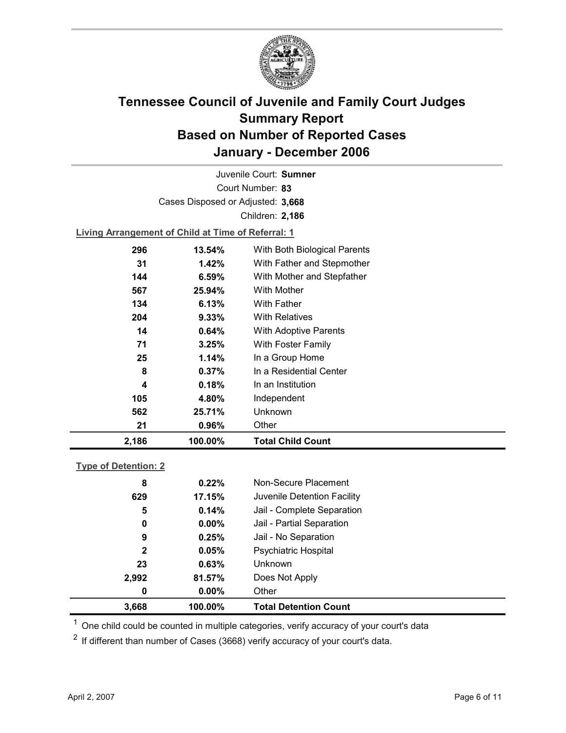

Court Number: **83** Juvenile Court: **Sumner** Cases Disposed or Adjusted: **3,668** Children: **2,186**

**Living Arrangement of Child at Time of Referral: 1**

| 2,186 | 100.00%   | <b>Total Child Count</b>     |
|-------|-----------|------------------------------|
| 21    | 0.96%     | Other                        |
| 562   | 25.71%    | Unknown                      |
| 105   | 4.80%     | Independent                  |
| 4     | 0.18%     | In an Institution            |
| 8     | 0.37%     | In a Residential Center      |
| 25    | 1.14%     | In a Group Home              |
| 71    | 3.25%     | With Foster Family           |
| 14    | 0.64%     | <b>With Adoptive Parents</b> |
| 204   | 9.33%     | <b>With Relatives</b>        |
| 134   | 6.13%     | <b>With Father</b>           |
| 567   | 25.94%    | <b>With Mother</b>           |
| 144   | 6.59%     | With Mother and Stepfather   |
| 31    | 1.42%     | With Father and Stepmother   |
| 296   | $13.54\%$ | With Both Biological Parents |
|       |           |                              |

### **Type of Detention: 2**

| 3,668        | 100.00%  | <b>Total Detention Count</b> |  |
|--------------|----------|------------------------------|--|
| 0            | $0.00\%$ | Other                        |  |
| 2,992        | 81.57%   | Does Not Apply               |  |
| 23           | 0.63%    | <b>Unknown</b>               |  |
| $\mathbf{2}$ | 0.05%    | <b>Psychiatric Hospital</b>  |  |
| 9            | 0.25%    | Jail - No Separation         |  |
| 0            | $0.00\%$ | Jail - Partial Separation    |  |
| 5            | 0.14%    | Jail - Complete Separation   |  |
| 629          | 17.15%   | Juvenile Detention Facility  |  |
| 8            | 0.22%    | Non-Secure Placement         |  |
|              |          |                              |  |

 $<sup>1</sup>$  One child could be counted in multiple categories, verify accuracy of your court's data</sup>

 $2$  If different than number of Cases (3668) verify accuracy of your court's data.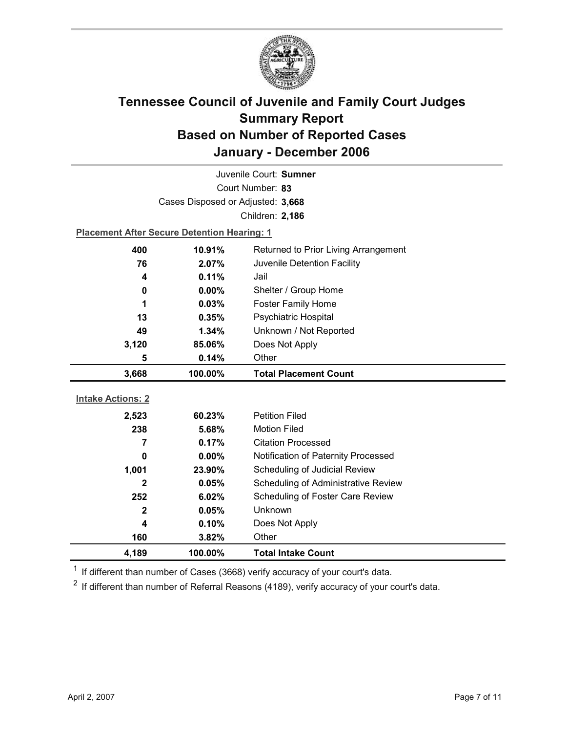

| Juvenile Court: Sumner   |                                                    |                                      |  |
|--------------------------|----------------------------------------------------|--------------------------------------|--|
| Court Number: 83         |                                                    |                                      |  |
|                          | Cases Disposed or Adjusted: 3,668                  |                                      |  |
|                          |                                                    | Children: 2,186                      |  |
|                          | <b>Placement After Secure Detention Hearing: 1</b> |                                      |  |
| 400                      | 10.91%                                             | Returned to Prior Living Arrangement |  |
| 76                       | 2.07%                                              | Juvenile Detention Facility          |  |
| 4                        | 0.11%                                              | Jail                                 |  |
| 0                        | $0.00\%$                                           | Shelter / Group Home                 |  |
| 1                        | 0.03%                                              | <b>Foster Family Home</b>            |  |
| 13                       | 0.35%                                              | Psychiatric Hospital                 |  |
| 49                       | 1.34%                                              | Unknown / Not Reported               |  |
| 3,120                    | 85.06%                                             | Does Not Apply                       |  |
| 5                        | 0.14%                                              | Other                                |  |
|                          |                                                    |                                      |  |
| 3,668                    | 100.00%                                            | <b>Total Placement Count</b>         |  |
|                          |                                                    |                                      |  |
| <b>Intake Actions: 2</b> |                                                    |                                      |  |
| 2,523                    | 60.23%                                             | <b>Petition Filed</b>                |  |
| 238                      | 5.68%                                              | <b>Motion Filed</b>                  |  |
| $\overline{7}$           | 0.17%                                              | <b>Citation Processed</b>            |  |
| 0                        | $0.00\%$                                           | Notification of Paternity Processed  |  |
| 1,001                    | 23.90%                                             | Scheduling of Judicial Review        |  |
| $\mathbf{2}$             | 0.05%                                              | Scheduling of Administrative Review  |  |
| 252                      | 6.02%                                              | Scheduling of Foster Care Review     |  |
| $\mathbf{2}$             | 0.05%                                              | <b>Unknown</b>                       |  |
| 4                        | 0.10%                                              | Does Not Apply                       |  |
| 160                      | 3.82%                                              | Other                                |  |

 $1$  If different than number of Cases (3668) verify accuracy of your court's data.

 $2$  If different than number of Referral Reasons (4189), verify accuracy of your court's data.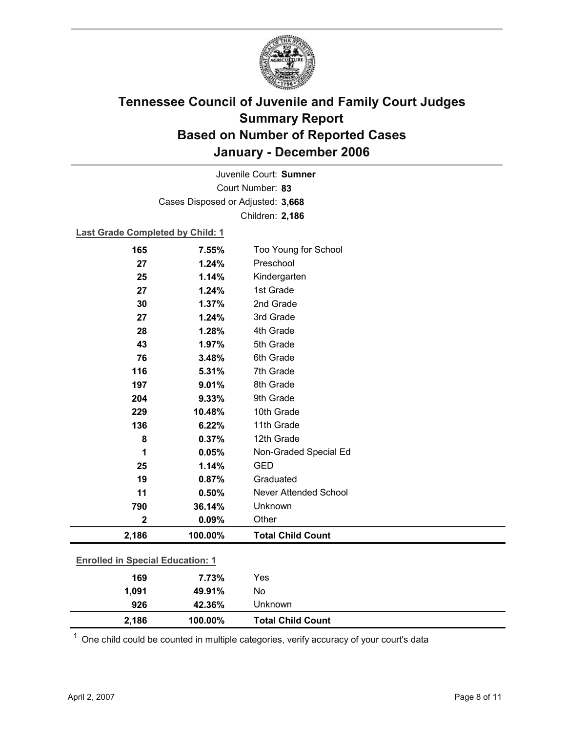

Court Number: **83** Juvenile Court: **Sumner** Cases Disposed or Adjusted: **3,668** Children: **2,186**

### **Last Grade Completed by Child: 1**

| 165                                     | 7.55%   | Too Young for School     |
|-----------------------------------------|---------|--------------------------|
| 27                                      | 1.24%   | Preschool                |
| 25                                      | 1.14%   | Kindergarten             |
| 27                                      | 1.24%   | 1st Grade                |
| 30                                      | 1.37%   | 2nd Grade                |
| 27                                      | 1.24%   | 3rd Grade                |
| 28                                      | 1.28%   | 4th Grade                |
| 43                                      | 1.97%   | 5th Grade                |
| 76                                      | 3.48%   | 6th Grade                |
| 116                                     | 5.31%   | 7th Grade                |
| 197                                     | 9.01%   | 8th Grade                |
| 204                                     | 9.33%   | 9th Grade                |
| 229                                     | 10.48%  | 10th Grade               |
| 136                                     | 6.22%   | 11th Grade               |
| 8                                       | 0.37%   | 12th Grade               |
| 1                                       | 0.05%   | Non-Graded Special Ed    |
| 25                                      | 1.14%   | <b>GED</b>               |
| 19                                      | 0.87%   | Graduated                |
| 11                                      | 0.50%   | Never Attended School    |
| 790                                     | 36.14%  | Unknown                  |
| $\mathbf{2}$                            | 0.09%   | Other                    |
| 2,186                                   | 100.00% | <b>Total Child Count</b> |
| <b>Enrolled in Special Education: 1</b> |         |                          |
|                                         |         |                          |
| 169                                     | 7.73%   | Yes                      |
| 1,091                                   | 49.91%  | No                       |
| 926                                     | 42.36%  | Unknown                  |

 $1$  One child could be counted in multiple categories, verify accuracy of your court's data

**2,186 100.00% Total Child Count**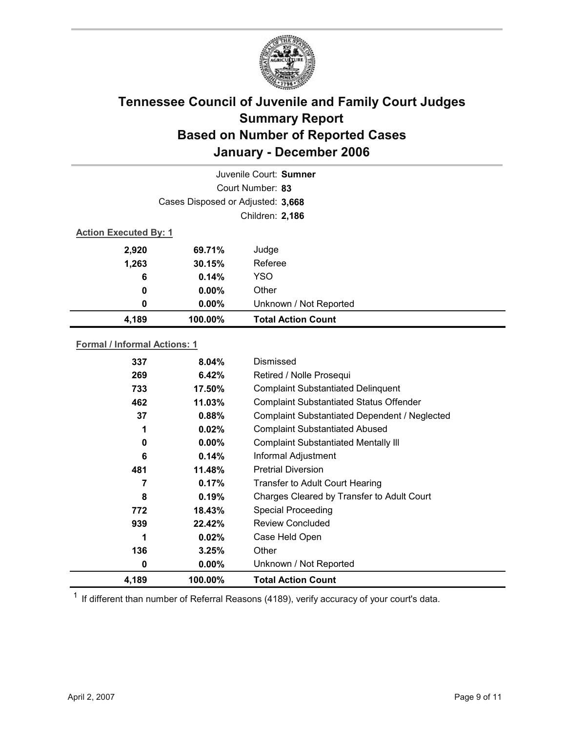

| Juvenile Court: Sumner       |                                   |                           |  |  |
|------------------------------|-----------------------------------|---------------------------|--|--|
|                              | Court Number: 83                  |                           |  |  |
|                              | Cases Disposed or Adjusted: 3,668 |                           |  |  |
|                              | Children: 2,186                   |                           |  |  |
| <b>Action Executed By: 1</b> |                                   |                           |  |  |
| 2,920                        | 69.71%                            | Judge                     |  |  |
| 1,263                        | 30.15%                            | Referee                   |  |  |
| 6                            | 0.14%                             | <b>YSO</b>                |  |  |
| 0                            | $0.00\%$                          | Other                     |  |  |
| 0                            | $0.00\%$                          | Unknown / Not Reported    |  |  |
| 4,189                        | 100.00%                           | <b>Total Action Count</b> |  |  |

### **Formal / Informal Actions: 1**

| 337   | $8.04\%$ | Dismissed                                      |
|-------|----------|------------------------------------------------|
| 269   | 6.42%    | Retired / Nolle Prosequi                       |
| 733   | 17.50%   | <b>Complaint Substantiated Delinquent</b>      |
| 462   | 11.03%   | <b>Complaint Substantiated Status Offender</b> |
| 37    | 0.88%    | Complaint Substantiated Dependent / Neglected  |
| 1     | 0.02%    | <b>Complaint Substantiated Abused</b>          |
| 0     | $0.00\%$ | <b>Complaint Substantiated Mentally III</b>    |
| 6     | 0.14%    | Informal Adjustment                            |
| 481   | 11.48%   | <b>Pretrial Diversion</b>                      |
| 7     | 0.17%    | <b>Transfer to Adult Court Hearing</b>         |
| 8     | 0.19%    | Charges Cleared by Transfer to Adult Court     |
| 772   | 18.43%   | <b>Special Proceeding</b>                      |
| 939   | 22.42%   | <b>Review Concluded</b>                        |
| 1     | 0.02%    | Case Held Open                                 |
| 136   | 3.25%    | Other                                          |
| 0     | $0.00\%$ | Unknown / Not Reported                         |
| 4,189 | 100.00%  | <b>Total Action Count</b>                      |

 $1$  If different than number of Referral Reasons (4189), verify accuracy of your court's data.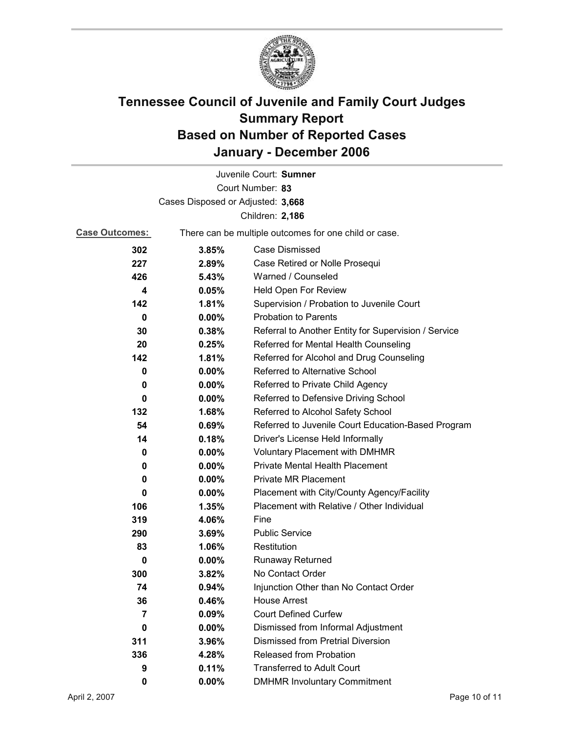

|                                   |                                                       | Juvenile Court: Sumner                               |  |
|-----------------------------------|-------------------------------------------------------|------------------------------------------------------|--|
|                                   |                                                       | Court Number: 83                                     |  |
| Cases Disposed or Adjusted: 3,668 |                                                       |                                                      |  |
| Children: 2,186                   |                                                       |                                                      |  |
| <b>Case Outcomes:</b>             | There can be multiple outcomes for one child or case. |                                                      |  |
| 302                               | 3.85%                                                 | Case Dismissed                                       |  |
| 227                               | 2.89%                                                 | Case Retired or Nolle Prosequi                       |  |
| 426                               | 5.43%                                                 | Warned / Counseled                                   |  |
| 4                                 | 0.05%                                                 | Held Open For Review                                 |  |
| 142                               | 1.81%                                                 | Supervision / Probation to Juvenile Court            |  |
| $\bf{0}$                          | $0.00\%$                                              | <b>Probation to Parents</b>                          |  |
| 30                                | 0.38%                                                 | Referral to Another Entity for Supervision / Service |  |
| 20                                | 0.25%                                                 | Referred for Mental Health Counseling                |  |
| 142                               | 1.81%                                                 | Referred for Alcohol and Drug Counseling             |  |
| 0                                 | $0.00\%$                                              | Referred to Alternative School                       |  |
| 0                                 | $0.00\%$                                              | Referred to Private Child Agency                     |  |
| 0                                 | $0.00\%$                                              | Referred to Defensive Driving School                 |  |
| 132                               | 1.68%                                                 | Referred to Alcohol Safety School                    |  |
| 54                                | 0.69%                                                 | Referred to Juvenile Court Education-Based Program   |  |
| 14                                | 0.18%                                                 | Driver's License Held Informally                     |  |
| 0                                 | $0.00\%$                                              | <b>Voluntary Placement with DMHMR</b>                |  |
| 0                                 | $0.00\%$                                              | <b>Private Mental Health Placement</b>               |  |
| 0                                 | $0.00\%$                                              | <b>Private MR Placement</b>                          |  |
| 0                                 | $0.00\%$                                              | Placement with City/County Agency/Facility           |  |
| 106                               | 1.35%                                                 | Placement with Relative / Other Individual           |  |
| 319                               | 4.06%                                                 | Fine                                                 |  |
| 290                               | 3.69%                                                 | <b>Public Service</b>                                |  |
| 83                                | 1.06%                                                 | Restitution                                          |  |
| 0                                 | $0.00\%$                                              | <b>Runaway Returned</b>                              |  |
| 300                               | 3.82%                                                 | No Contact Order                                     |  |
| 74                                | 0.94%                                                 | Injunction Other than No Contact Order               |  |
| 36                                | 0.46%                                                 | <b>House Arrest</b>                                  |  |
| 7                                 | 0.09%                                                 | <b>Court Defined Curfew</b>                          |  |
| 0                                 | $0.00\%$                                              | Dismissed from Informal Adjustment                   |  |
| 311                               | 3.96%                                                 | <b>Dismissed from Pretrial Diversion</b>             |  |
| 336                               | 4.28%                                                 | Released from Probation                              |  |
| 9                                 | 0.11%                                                 | <b>Transferred to Adult Court</b>                    |  |
| 0                                 | $0.00\%$                                              | <b>DMHMR Involuntary Commitment</b>                  |  |